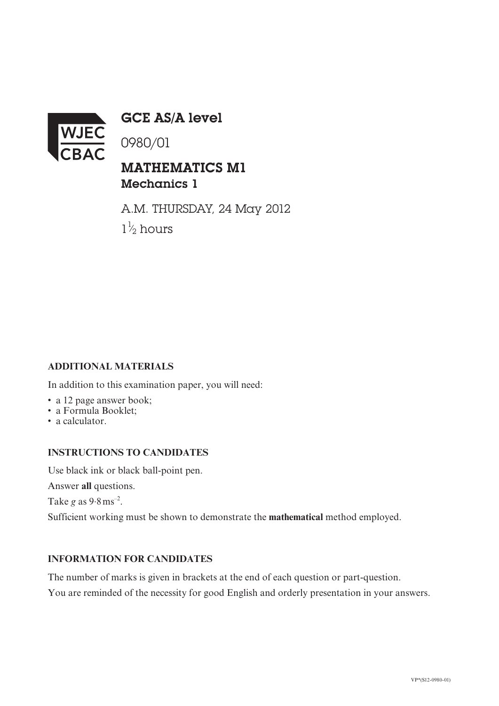

GCE AS/A level

0980/01

## MATHEMATICS M1 Mechanics 1

A.M. THURSDAY, 24 May 2012  $1\frac{1}{2}$  hours ⁄

## **ADDITIONAL MATERIALS**

In addition to this examination paper, you will need:

- a 12 page answer book;
- a Formula Booklet;
- a calculator.

## **INSTRUCTIONS TO CANDIDATES**

Use black ink or black ball-point pen.

Answer **all** questions.

Take *g* as 9.8ms–2.

Sufficient working must be shown to demonstrate the **mathematical** method employed.

## **INFORMATION FOR CANDIDATES**

The number of marks is given in brackets at the end of each question or part-question.

You are reminded of the necessity for good English and orderly presentation in your answers.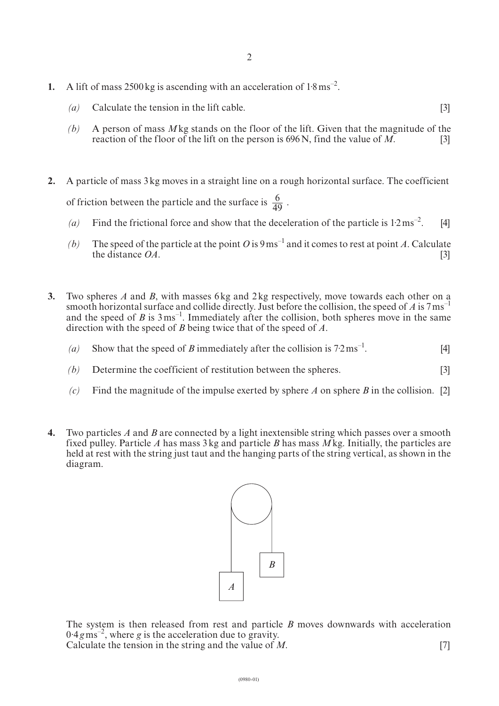- **1.** A lift of mass 2500 kg is ascending with an acceleration of 1.8 ms<sup>-2</sup>.
	- *(a)* Calculate the tension in the lift cable. [3]
	- *(b)* A person of mass *M*kg stands on the floor of the lift. Given that the magnitude of the reaction of the floor of the lift on the person is 696N, find the value of *M*. [3]
- **2.** A particle of mass 3kg moves in a straight line on a rough horizontal surface. The coefficient of friction between the particle and the surface is  $\frac{6}{40}$ . 49
	- (a) Find the frictional force and show that the deceleration of the particle is  $1.2 \text{ ms}^{-2}$ . [4]
	- *(b)* The speed of the particle at the point *O* is  $9 \text{ ms}^{-1}$  and it comes to rest at point *A*. Calculate the distance  $OA$ . [3]
- **3.** Two spheres *A* and *B*, with masses 6kg and 2kg respectively, move towards each other on a smooth horizontal surface and collide directly. Just before the collision, the speed of *A* is  $7 \text{ ms}^{-1}$ and the speed of *B* is  $3 \text{ ms}^{-1}$ . Immediately after the collision, both spheres move in the same direction with the speed of *B* being twice that of the speed of *A*.
	- (a) Show that the speed of *B* immediately after the collision is  $7.2 \text{ ms}^{-1}$ . [4]
	- *(b)* Determine the coefficient of restitution between the spheres. [3]
	- *(c)* Find the magnitude of the impulse exerted by sphere *A* on sphere *B* in the collision. [2]
- **4.** Two particles *A* and *B* are connected by a light inextensible string which passes over a smooth fixed pulley. Particle *A* has mass 3kg and particle *B* has mass *M*kg. Initially, the particles are held at rest with the string just taut and the hanging parts of the string vertical, as shown in the diagram.



The system is then released from rest and particle *B* moves downwards with acceleration  $0.4 \, \text{g m s}^{-2}$ , where *g* is the acceleration due to gravity. Calculate the tension in the string and the value of *M*. [7]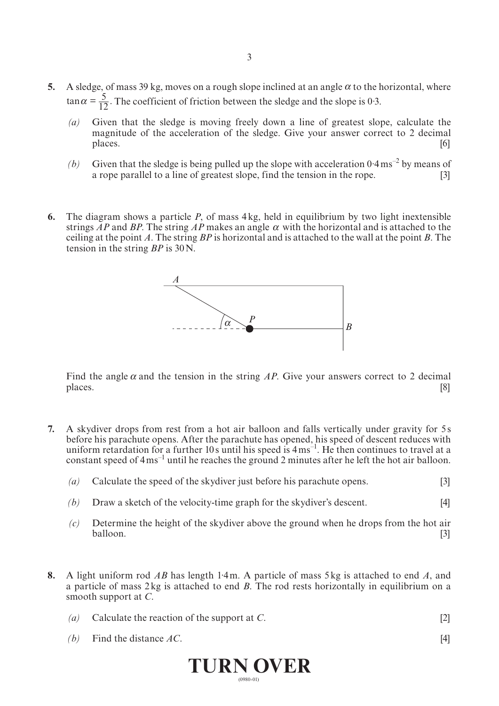- **5.** A sledge, of mass 39 kg, moves on a rough slope inclined at an angle  $\alpha$  to the horizontal, where  $\tan \alpha = \frac{5}{12}$ . The coefficient of friction between the sledge and the slope is 0.3.
	- *(a)* Given that the sledge is moving freely down a line of greatest slope, calculate the magnitude of the acceleration of the sledge. Give your answer correct to 2 decimal places. places. [6]
	- *(b)* Given that the sledge is being pulled up the slope with acceleration  $0.4 \text{ ms}^{-2}$  by means of a rope parallel to a line of greatest slope, find the tension in the rope. [3]
- **6.** The diagram shows a particle *P*, of mass 4kg, held in equilibrium by two light inextensible strings AP and BP. The string AP makes an angle  $\alpha$  with the horizontal and is attached to the ceiling at the point *A*. The string *BP* is horizontal and is attached to the wall at the point *B*. The tension in the string *BP* is 30N.



Find the angle  $\alpha$  and the tension in the string AP. Give your answers correct to 2 decimal places. [8]

- **7.** A skydiver drops from rest from a hot air balloon and falls vertically under gravity for 5 s before his parachute opens. After the parachute has opened, his speed of descent reduces with uniform retardation for a further 10s until his speed is  $4 \text{ ms}^{-1}$ . He then continues to travel at a constant speed of  $4 \text{ ms}^{-1}$  until he reaches the ground 2 minutes after he left the hot air balloon.
	- *(a)* Calculate the speed of the skydiver just before his parachute opens. [3]
	- *(b)* Draw a sketch of the velocity-time graph for the skydiver's descent. [4]
	- *(c)* Determine the height of the skydiver above the ground when he drops from the hot air balloon. [3]
- **8.** A light uniform rod *AB* has length 1·4m. A particle of mass 5kg is attached to end *A*, and a particle of mass 2kg is attached to end *B*. The rod rests horizontally in equilibrium on a smooth support at *C*.

|     | <b>THINNI AUTH</b>                          |     |  |  |  |
|-----|---------------------------------------------|-----|--|--|--|
|     | (b) Find the distance $AC$ .                | [4] |  |  |  |
| (a) | Calculate the reaction of the support at C. |     |  |  |  |

(0980-01)

**Turn over**